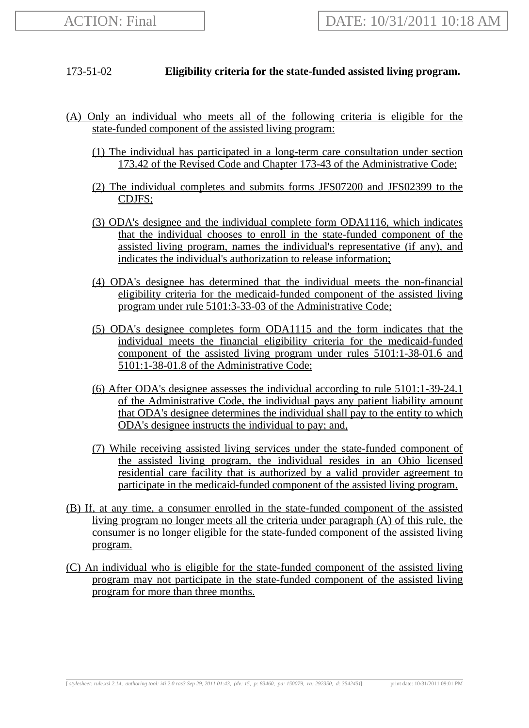## 173-51-02 **Eligibility criteria for the state-funded assisted living program.**

- (A) Only an individual who meets all of the following criteria is eligible for the state-funded component of the assisted living program:
	- (1) The individual has participated in a long-term care consultation under section 173.42 of the Revised Code and Chapter 173-43 of the Administrative Code;
	- (2) The individual completes and submits forms JFS07200 and JFS02399 to the CDJFS;
	- (3) ODA's designee and the individual complete form ODA1116, which indicates that the individual chooses to enroll in the state-funded component of the assisted living program, names the individual's representative (if any), and indicates the individual's authorization to release information;
	- (4) ODA's designee has determined that the individual meets the non-financial eligibility criteria for the medicaid-funded component of the assisted living program under rule 5101:3-33-03 of the Administrative Code;
	- (5) ODA's designee completes form ODA1115 and the form indicates that the individual meets the financial eligibility criteria for the medicaid-funded component of the assisted living program under rules 5101:1-38-01.6 and 5101:1-38-01.8 of the Administrative Code;
	- (6) After ODA's designee assesses the individual according to rule 5101:1-39-24.1 of the Administrative Code, the individual pays any patient liability amount that ODA's designee determines the individual shall pay to the entity to which ODA's designee instructs the individual to pay; and,
	- (7) While receiving assisted living services under the state-funded component of the assisted living program, the individual resides in an Ohio licensed residential care facility that is authorized by a valid provider agreement to participate in the medicaid-funded component of the assisted living program.
- (B) If, at any time, a consumer enrolled in the state-funded component of the assisted living program no longer meets all the criteria under paragraph (A) of this rule, the consumer is no longer eligible for the state-funded component of the assisted living program.
- (C) An individual who is eligible for the state-funded component of the assisted living program may not participate in the state-funded component of the assisted living program for more than three months.